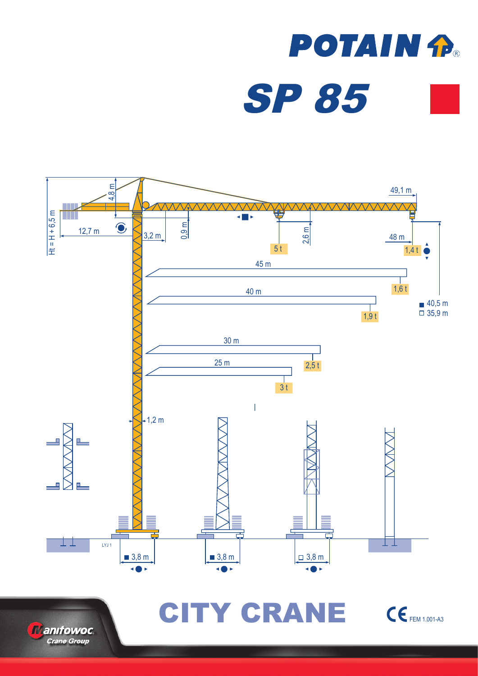





CITY CRANE CEFEM 1.001-A3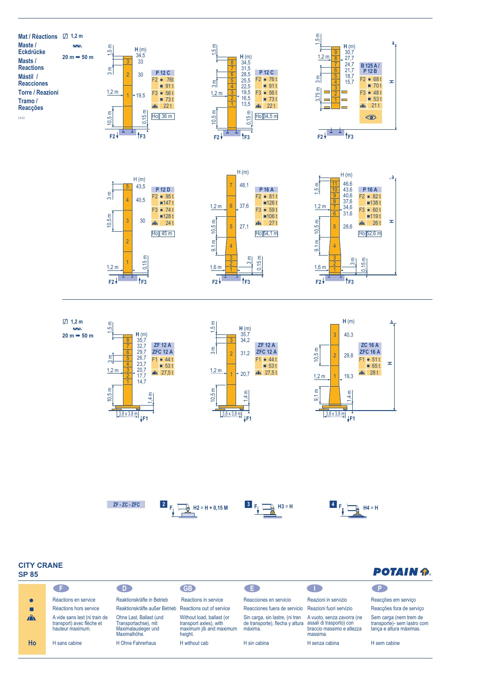



| <b>POTAIN P</b> |  |
|-----------------|--|
|                 |  |

| כּט יוכ      |                                                                                |                                                                                        |                                                                                           |                                                                                                        |                                                                     |                                                                                  |
|--------------|--------------------------------------------------------------------------------|----------------------------------------------------------------------------------------|-------------------------------------------------------------------------------------------|--------------------------------------------------------------------------------------------------------|---------------------------------------------------------------------|----------------------------------------------------------------------------------|
|              | - F -                                                                          |                                                                                        | <b>GB</b>                                                                                 | . E .                                                                                                  |                                                                     | ⊪ P                                                                              |
|              | Réactions en service                                                           | Reaktionskräfte in Betrieb                                                             | Reactions in service                                                                      | Reacciones en servicio                                                                                 | Reazioni in servizio                                                | Reacções em serviço                                                              |
|              | Réactions hors service                                                         | Reaktionskräfte außer Betrieb Reactions out of service                                 |                                                                                           | Reacciones fuera de servicio Reazioni fuori servizio                                                   |                                                                     | Reacções fora de serviço                                                         |
| $\mathbf{A}$ | A vide sans lest (ni train de<br>transport) avec flèche et<br>hauteur maximum. | Ohne Last, Ballast (und<br>Transportachse), mit<br>Maximalausleger und<br>Maximalhöhe. | Without load, ballast (or<br>transport axles), with<br>maximum jib and maximum<br>height. | Sin carga, sin lastre, (ni tren<br>de transporte), flecha y altura assali di trasporto) con<br>máxima. | A vuoto, senza zavorra (ne<br>braccio massimo e altezza<br>massima. | Sem carga (nem trem de<br>transporte)- sem lastro com<br>lança e altura máximas. |
| Ho           | H sans cabine                                                                  | H Ohne Fahrerhaus                                                                      | H without cab                                                                             | H sin cabina                                                                                           | H senza cabina                                                      | H sem cabine                                                                     |





0,15 m

3 m

 $F2 + 1$  **F3** 

9,1 m

 $1,6$  m



0,15 m

 $F2 + 1 + 1 + F3$ 

1

 $1,2 m$ 

 $\overline{2}$ 





 $H$ o  $H$   $\begin{bmatrix} 1 & 1 \end{bmatrix}$   $\begin{bmatrix} 1 & 1 \end{bmatrix}$   $\begin{bmatrix} 1 & 1 \end{bmatrix}$   $\begin{bmatrix} 1 & 1 \end{bmatrix}$   $\begin{bmatrix} 1 & 1 \end{bmatrix}$   $\begin{bmatrix} 1 & 1 \end{bmatrix}$   $\begin{bmatrix} 1 & 1 \end{bmatrix}$   $\begin{bmatrix} 1 & 1 \end{bmatrix}$   $\begin{bmatrix} 1 & 1 \end{bmatrix}$   $\begin{bmatrix} 1 & 1 \end{bmatrix}$   $\begin{bmatrix} 1 & 1$ 

0,15 m

3 m

 $F2 + \frac{1}{2} + \frac{1}{2} + F3$ 

9,1 m

 $1,6 m$ 

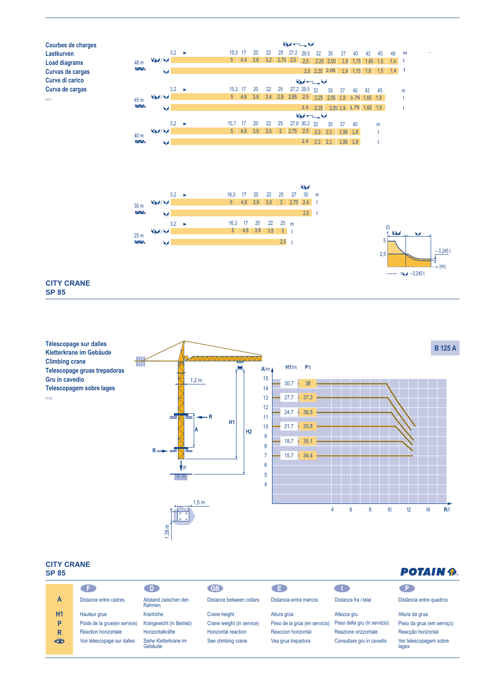





**BATAINA** 

## **CITY CRANE SP 85**

LYJ 2

**Télescopage sur dalles B 125 A Kletterkrane im Gebäude A**/m  $\overline{\phantom{a}}$ **Climbing crane H1**/m **P**/t **Telescopage gruas trepadoras Gru in cavedio** 15 1,2 m  $30.7 \div 38$ 14 **Telescopagem sobre lages** 13  $27.7 \div 37.3$ 12  $24,7$   $\cdot$  36,5 **R** 11 **H1** 10  $21,7 - 35,8$ **H2 A** 9  $18,7$   $\cdot$  35,1 8 **R** 7  $15.7 \div 34.4$ P 6 5  $\frac{1}{2}$  **B**  $\frac{1}{2}$  **E**  $\frac{1}{2}$  **B**  $\frac{1}{2}$  **E**  $\frac{1}{2}$  **E**  $\frac{1}{2}$  **E**  $\frac{1}{2}$  **E**  $\frac{1}{2}$  **E**  $\frac{1}{2}$  **E**  $\frac{1}{2}$  **E**  $\frac{1}{2}$  **E**  $\frac{1}{2}$  **E**  $\frac{1}{2}$  **E**  $\frac{1}{2}$  **E**  $\frac{1}{2}$  **E**  $\frac{1}{2}$  4 Reacciones en servicio Reacções em serviço Reacciones fuera de servicio Reacções fora de serviço 1,5 m Without load, ballast (or Sem carga (nem trem de Ohne Last, Ballast (und Sin carga, sin lastre, (ni tren A vuoto, senza zavorra (ne  $4 \t6 \t8$ 12  $\frac{14}{R/t}$ Transportachse), mit de transporte), flecha y altura 4 6 8 10 12 14 **R**/t Maximalausleger und Maximalhöhe.  $1,38 \text{ m}$ 

## **CITY CRANE**

| <b>SP 85</b> | POTAIN 12                    |                                  |                            |                               |                              |                                 |
|--------------|------------------------------|----------------------------------|----------------------------|-------------------------------|------------------------------|---------------------------------|
|              | G E S                        | -D-                              | <b>GB</b>                  | . E.                          |                              |                                 |
| A            | Distance entre cadres        | Abstand zwischen den<br>Rahmen   | Distance between collars   | Distancia entra marcos        | Distanza fra i telai         | Distância entre quadros         |
| <b>H1</b>    | Hauteur grue                 | Kranhöhe                         | Crane height               | Altura grúa                   | Altezza gru                  | Altura da grua                  |
| P            | Poids de la grue(en service) | Krangewicht (in Betrieb)         | Crane weight (in service)  | Peso de la grúa (en servicio) | Peso della gru (in servizio) | Peso da grua (em serviço)       |
| R            | Réaction horizontale         | Horizontalkräfte                 | <b>Horizontal reaction</b> | Reaccion horizontal           | Reazione orizzontale         | Reacção horizontal              |
| ₩            | Voir télescopage sur dalles  | Siehe Kletterkrane im<br>Gebäude | See climbing crane         | Vea grua trepadora            | Consultare gru in cavedio    | Ver telescopagem sobre<br>lages |